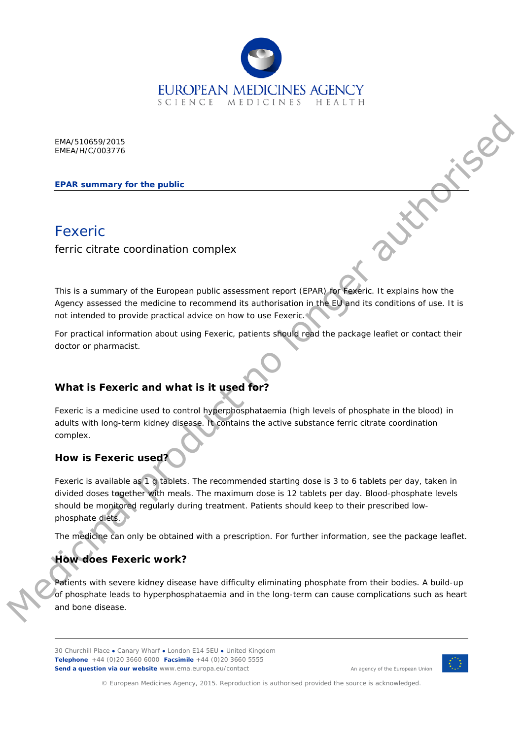

EMA/510659/2015 EMEA/H/C/003776

**EPAR summary for the public**

# **Fexeric**

ferric citrate coordination complex

This is a summary of the European public assessment report (EPAR) for Fexeric. It explains how the Agency assessed the medicine to recommend its authorisation in the EU and its conditions of use. It is not intended to provide practical advice on how to use Fexeric.

For practical information about using Fexeric, patients should read the package leaflet or contact their doctor or pharmacist.

# **What is Fexeric and what is it used for?**

Fexeric is a medicine used to control hyperphosphataemia (high levels of phosphate in the blood) in adults with long-term kidney disease. It contains the active substance ferric citrate coordination complex.

## **How is Fexeric used?**

Fexeric is available as 1 g tablets. The recommended starting dose is 3 to 6 tablets per day, taken in divided doses together with meals. The maximum dose is 12 tablets per day. Blood-phosphate levels should be monitored regularly during treatment. Patients should keep to their prescribed lowphosphate diets. EMATS1068/2015<br>
EPAR summary for the public<br>
EPAR summary for the public<br>
EPAR summary of the European public issuessment repeat (EPAR) An Kadinic. It explains have the<br>
Agreement records the condition because the control

The medicine can only be obtained with a prescription. For further information, see the package leaflet.

# **How does Fexeric work?**

Patients with severe kidney disease have difficulty eliminating phosphate from their bodies. A build-up of phosphate leads to hyperphosphataemia and in the long-term can cause complications such as heart and bone disease.

30 Churchill Place **●** Canary Wharf **●** London E14 5EU **●** United Kingdom **Telephone** +44 (0)20 3660 6000 **Facsimile** +44 (0)20 3660 5555 **Send a question via our website** www.ema.europa.eu/contact



An agency of the European Union

© European Medicines Agency, 2015. Reproduction is authorised provided the source is acknowledged.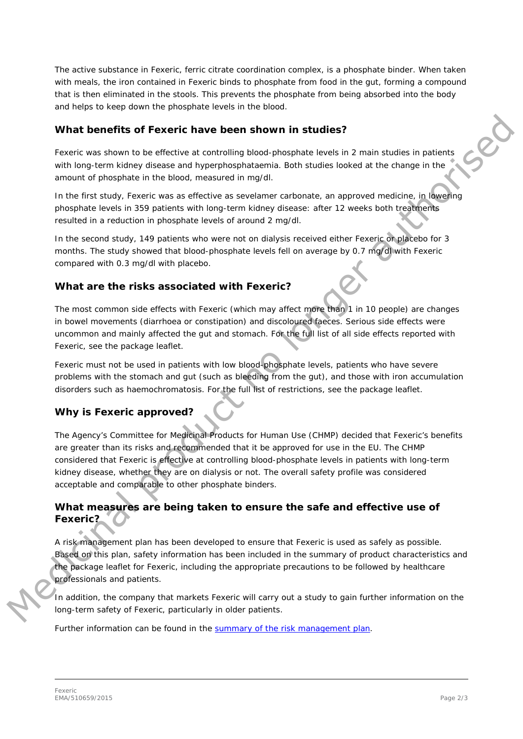The active substance in Fexeric, ferric citrate coordination complex, is a phosphate binder. When taken with meals, the iron contained in Fexeric binds to phosphate from food in the gut, forming a compound that is then eliminated in the stools. This prevents the phosphate from being absorbed into the body and helps to keep down the phosphate levels in the blood.

#### **What benefits of Fexeric have been shown in studies?**

Fexeric was shown to be effective at controlling blood-phosphate levels in 2 main studies in patients with long-term kidney disease and hyperphosphataemia. Both studies looked at the change in the amount of phosphate in the blood, measured in mg/dl.

In the first study, Fexeric was as effective as sevelamer carbonate, an approved medicine, in lowering phosphate levels in 359 patients with long-term kidney disease: after 12 weeks both treatments resulted in a reduction in phosphate levels of around 2 mg/dl.

In the second study, 149 patients who were not on dialysis received either Fexeric or placebo for 3 months. The study showed that blood-phosphate levels fell on average by 0.7 mg/dl with Fexeric compared with 0.3 mg/dl with placebo.

## **What are the risks associated with Fexeric?**

The most common side effects with Fexeric (which may affect more than 1 in 10 people) are changes in bowel movements (diarrhoea or constipation) and discoloured faeces. Serious side effects were uncommon and mainly affected the gut and stomach. For the full list of all side effects reported with Fexeric, see the package leaflet.

Fexeric must not be used in patients with low blood-phosphate levels, patients who have severe problems with the stomach and gut (such as bleeding from the gut), and those with iron accumulation disorders such as haemochromatosis. For the full list of restrictions, see the package leaflet.

#### **Why is Fexeric approved?**

The Agency's Committee for Medicinal Products for Human Use (CHMP) decided that Fexeric's benefits are greater than its risks and recommended that it be approved for use in the EU. The CHMP considered that Fexeric is effective at controlling blood-phosphate levels in patients with long-term kidney disease, whether they are on dialysis or not. The overall safety profile was considered acceptable and comparable to other phosphate binders. **What benefits of Fexeric have been shown in studies?**<br>
Focusion watern to be collecting that in the collection of the state of the state of the collection of phosphate the state of the block, measured in myldin<br>
an monit

## **What measures are being taken to ensure the safe and effective use of Fexeric?**

A risk management plan has been developed to ensure that Fexeric is used as safely as possible. Based on this plan, safety information has been included in the summary of product characteristics and the package leaflet for Fexeric, including the appropriate precautions to be followed by healthcare professionals and patients.

In addition, the company that markets Fexeric will carry out a study to gain further information on the long-term safety of Fexeric, particularly in older patients.

Further information can be found in the [summary of the risk management plan.](http://www.ema.europa.eu/docs/en_GB/document_library/EPAR_-_Risk-management-plan_summary/human/003776/WC500190180.pdf)